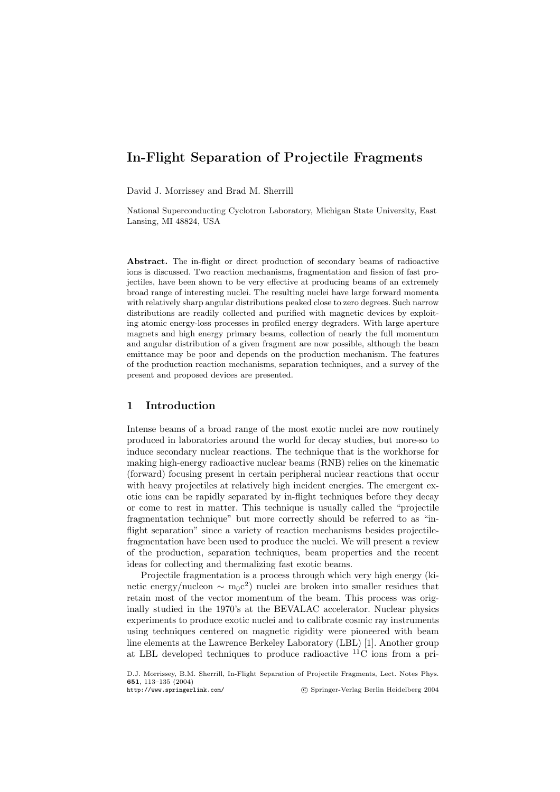# **In-Flight Separation of Projectile Fragments**

David J. Morrissey and Brad M. Sherrill

National Superconducting Cyclotron Laboratory, Michigan State University, East Lansing, MI 48824, USA

**Abstract.** The in-flight or direct production of secondary beams of radioactive ions is discussed. Two reaction mechanisms, fragmentation and fission of fast projectiles, have been shown to be very effective at producing beams of an extremely broad range of interesting nuclei. The resulting nuclei have large forward momenta with relatively sharp angular distributions peaked close to zero degrees. Such narrow distributions are readily collected and purified with magnetic devices by exploiting atomic energy-loss processes in profiled energy degraders. With large aperture magnets and high energy primary beams, collection of nearly the full momentum and angular distribution of a given fragment are now possible, although the beam emittance may be poor and depends on the production mechanism. The features of the production reaction mechanisms, separation techniques, and a survey of the present and proposed devices are presented.

### **1 Introduction**

Intense beams of a broad range of the most exotic nuclei are now routinely produced in laboratories around the world for decay studies, but more-so to induce secondary nuclear reactions. The technique that is the workhorse for making high-energy radioactive nuclear beams (RNB) relies on the kinematic (forward) focusing present in certain peripheral nuclear reactions that occur with heavy projectiles at relatively high incident energies. The emergent exotic ions can be rapidly separated by in-flight techniques before they decay or come to rest in matter. This technique is usually called the "projectile fragmentation technique" but more correctly should be referred to as "inflight separation" since a variety of reaction mechanisms besides projectilefragmentation have been used to produce the nuclei. We will present a review of the production, separation techniques, beam properties and the recent ideas for collecting and thermalizing fast exotic beams.

Projectile fragmentation is a process through which very high energy (kinetic energy/nucleon  $\sim$  m<sub>0</sub>c<sup>2</sup>) nuclei are broken into smaller residues that retain most of the vector momentum of the beam. This process was originally studied in the 1970's at the BEVALAC accelerator. Nuclear physics experiments to produce exotic nuclei and to calibrate cosmic ray instruments using techniques centered on magnetic rigidity were pioneered with beam line elements at the Lawrence Berkeley Laboratory (LBL) [1]. Another group at LBL developed techniques to produce radioactive  ${}^{11}$ C ions from a pri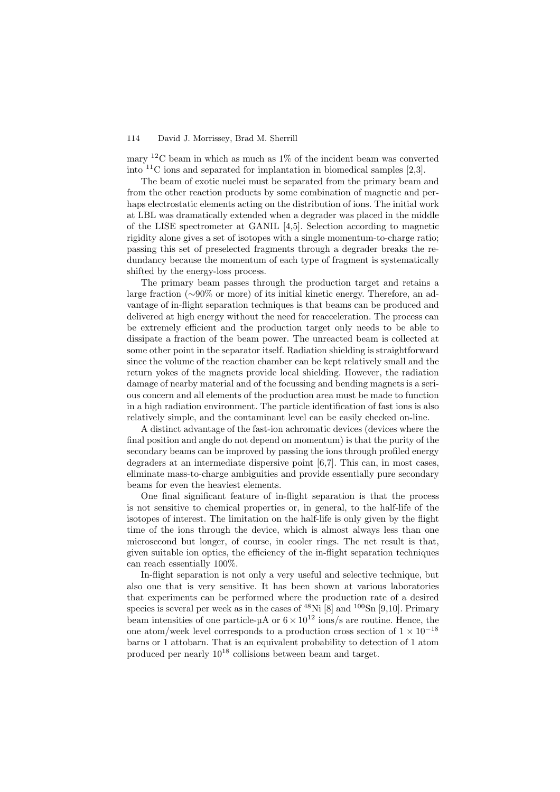mary <sup>12</sup>C beam in which as much as  $1\%$  of the incident beam was converted into  $^{11}$ C ions and separated for implantation in biomedical samples [2,3].

The beam of exotic nuclei must be separated from the primary beam and from the other reaction products by some combination of magnetic and perhaps electrostatic elements acting on the distribution of ions. The initial work at LBL was dramatically extended when a degrader was placed in the middle of the LISE spectrometer at GANIL [4,5]. Selection according to magnetic rigidity alone gives a set of isotopes with a single momentum-to-charge ratio; passing this set of preselected fragments through a degrader breaks the redundancy because the momentum of each type of fragment is systematically shifted by the energy-loss process.

The primary beam passes through the production target and retains a large fraction (∼90% or more) of its initial kinetic energy. Therefore, an advantage of in-flight separation techniques is that beams can be produced and delivered at high energy without the need for reacceleration. The process can be extremely efficient and the production target only needs to be able to dissipate a fraction of the beam power. The unreacted beam is collected at some other point in the separator itself. Radiation shielding is straightforward since the volume of the reaction chamber can be kept relatively small and the return yokes of the magnets provide local shielding. However, the radiation damage of nearby material and of the focussing and bending magnets is a serious concern and all elements of the production area must be made to function in a high radiation environment. The particle identification of fast ions is also relatively simple, and the contaminant level can be easily checked on-line.

A distinct advantage of the fast-ion achromatic devices (devices where the final position and angle do not depend on momentum) is that the purity of the secondary beams can be improved by passing the ions through profiled energy degraders at an intermediate dispersive point [6,7]. This can, in most cases, eliminate mass-to-charge ambiguities and provide essentially pure secondary beams for even the heaviest elements.

One final significant feature of in-flight separation is that the process is not sensitive to chemical properties or, in general, to the half-life of the isotopes of interest. The limitation on the half-life is only given by the flight time of the ions through the device, which is almost always less than one microsecond but longer, of course, in cooler rings. The net result is that, given suitable ion optics, the efficiency of the in-flight separation techniques can reach essentially 100%.

In-flight separation is not only a very useful and selective technique, but also one that is very sensitive. It has been shown at various laboratories that experiments can be performed where the production rate of a desired species is several per week as in the cases of  $^{48}\text{Ni}$  [8] and  $^{100}\text{Sn}$  [9,10]. Primary beam intensities of one particle- $\mu$ A or  $6 \times 10^{12}$  ions/s are routine. Hence, the one atom/week level corresponds to a production cross section of  $1 \times 10^{-18}$ barns or 1 attobarn. That is an equivalent probability to detection of 1 atom produced per nearly 10<sup>18</sup> collisions between beam and target.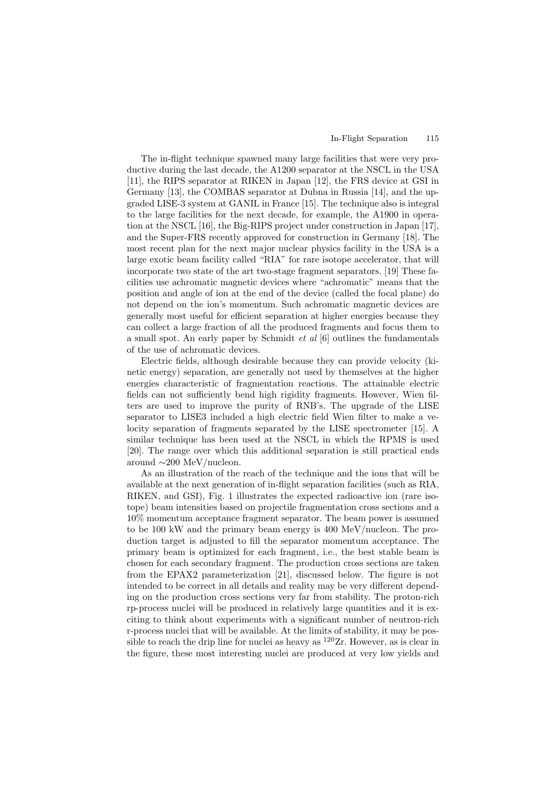The in-flight technique spawned many large facilities that were very productive during the last decade, the A1200 separator at the NSCL in the USA [11], the RIPS separator at RIKEN in Japan [12], the FRS device at GSI in Germany [13], the COMBAS separator at Dubna in Russia [14], and the upgraded LISE-3 system at GANIL in France [15]. The technique also is integral to the large facilities for the next decade, for example, the A1900 in operation at the NSCL [16], the Big-RIPS project under construction in Japan [17], and the Super-FRS recently approved for construction in Germany [18]. The most recent plan for the next major nuclear physics facility in the USA is a large exotic beam facility called "RIA" for rare isotope accelerator, that will incorporate two state of the art two-stage fragment separators. [19] These facilities use achromatic magnetic devices where "achromatic" means that the position and angle of ion at the end of the device (called the focal plane) do not depend on the ion's momentum. Such achromatic magnetic devices are generally most useful for efficient separation at higher energies because they can collect a large fraction of all the produced fragments and focus them to a small spot. An early paper by Schmidt *et al* [6] outlines the fundamentals of the use of achromatic devices.

Electric fields, although desirable because they can provide velocity (kinetic energy) separation, are generally not used by themselves at the higher energies characteristic of fragmentation reactions. The attainable electric fields can not sufficiently bend high rigidity fragments. However, Wien filters are used to improve the purity of RNB's. The upgrade of the LISE separator to LISE3 included a high electric field Wien filter to make a velocity separation of fragments separated by the LISE spectrometer [15]. A similar technique has been used at the NSCL in which the RPMS is used [20]. The range over which this additional separation is still practical ends around ∼200 MeV/nucleon.

As an illustration of the reach of the technique and the ions that will be available at the next generation of in-flight separation facilities (such as RIA, RIKEN, and GSI), Fig. 1 illustrates the expected radioactive ion (rare isotope) beam intensities based on projectile fragmentation cross sections and a 10% momentum acceptance fragment separator. The beam power is assumed to be 100 kW and the primary beam energy is 400 MeV/nucleon. The production target is adjusted to fill the separator momentum acceptance. The primary beam is optimized for each fragment, i.e., the best stable beam is chosen for each secondary fragment. The production cross sections are taken from the EPAX2 parameterization [21], discussed below. The figure is not intended to be correct in all details and reality may be very different depending on the production cross sections very far from stability. The proton-rich rp-process nuclei will be produced in relatively large quantities and it is exciting to think about experiments with a significant number of neutron-rich r-process nuclei that will be available. At the limits of stability, it may be possible to reach the drip line for nuclei as heavy as <sup>120</sup>Zr. However, as is clear in the figure, these most interesting nuclei are produced at very low yields and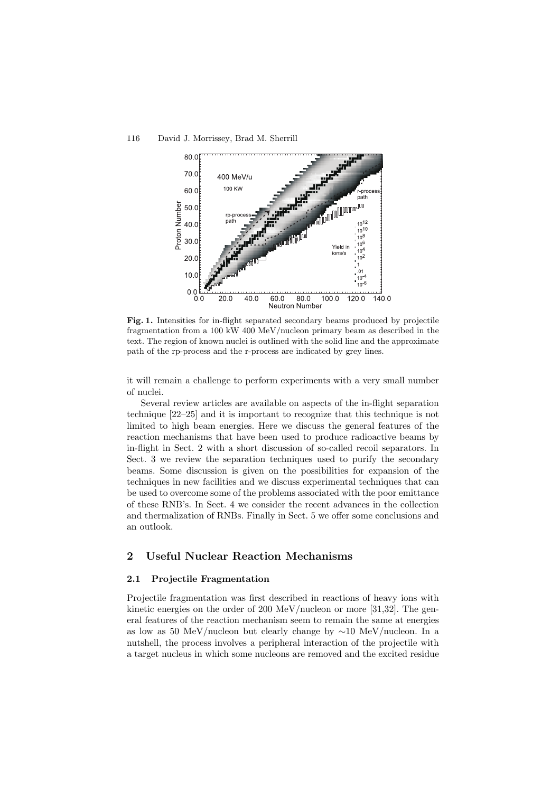

**Fig. 1.** Intensities for in-flight separated secondary beams produced by projectile fragmentation from a 100 kW 400 MeV/nucleon primary beam as described in the text. The region of known nuclei is outlined with the solid line and the approximate path of the rp-process and the r-process are indicated by grey lines.

it will remain a challenge to perform experiments with a very small number of nuclei.

Several review articles are available on aspects of the in-flight separation technique [22–25] and it is important to recognize that this technique is not limited to high beam energies. Here we discuss the general features of the reaction mechanisms that have been used to produce radioactive beams by in-flight in Sect. 2 with a short discussion of so-called recoil separators. In Sect. 3 we review the separation techniques used to purify the secondary beams. Some discussion is given on the possibilities for expansion of the techniques in new facilities and we discuss experimental techniques that can be used to overcome some of the problems associated with the poor emittance of these RNB's. In Sect. 4 we consider the recent advances in the collection and thermalization of RNBs. Finally in Sect. 5 we offer some conclusions and an outlook.

### **2 Useful Nuclear Reaction Mechanisms**

### **2.1 Projectile Fragmentation**

Projectile fragmentation was first described in reactions of heavy ions with kinetic energies on the order of 200 MeV/nucleon or more [31,32]. The general features of the reaction mechanism seem to remain the same at energies as low as 50 MeV/nucleon but clearly change by ∼10 MeV/nucleon. In a nutshell, the process involves a peripheral interaction of the projectile with a target nucleus in which some nucleons are removed and the excited residue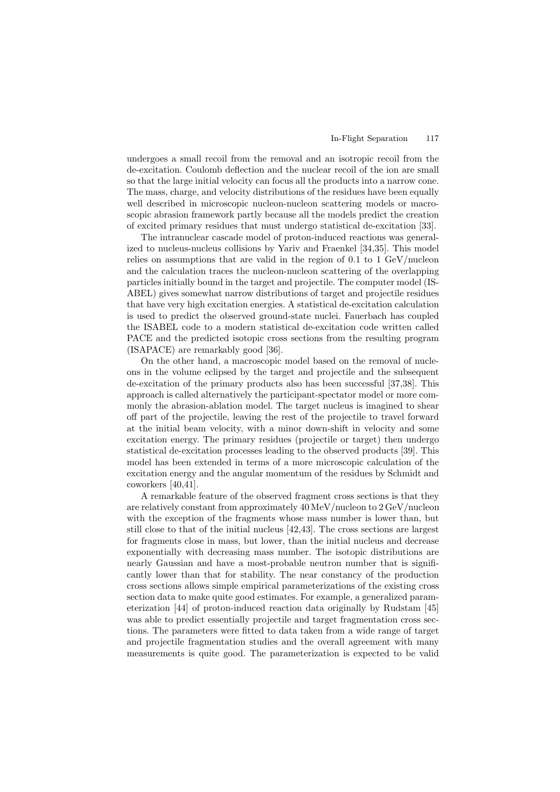undergoes a small recoil from the removal and an isotropic recoil from the de-excitation. Coulomb deflection and the nuclear recoil of the ion are small so that the large initial velocity can focus all the products into a narrow cone. The mass, charge, and velocity distributions of the residues have been equally well described in microscopic nucleon-nucleon scattering models or macroscopic abrasion framework partly because all the models predict the creation of excited primary residues that must undergo statistical de-excitation [33].

The intranuclear cascade model of proton-induced reactions was generalized to nucleus-nucleus collisions by Yariv and Fraenkel [34,35]. This model relies on assumptions that are valid in the region of 0.1 to 1 GeV/nucleon and the calculation traces the nucleon-nucleon scattering of the overlapping particles initially bound in the target and projectile. The computer model (IS-ABEL) gives somewhat narrow distributions of target and projectile residues that have very high excitation energies. A statistical de-excitation calculation is used to predict the observed ground-state nuclei. Fauerbach has coupled the ISABEL code to a modern statistical de-excitation code written called PACE and the predicted isotopic cross sections from the resulting program (ISAPACE) are remarkably good [36].

On the other hand, a macroscopic model based on the removal of nucleons in the volume eclipsed by the target and projectile and the subsequent de-excitation of the primary products also has been successful [37,38]. This approach is called alternatively the participant-spectator model or more commonly the abrasion-ablation model. The target nucleus is imagined to shear off part of the projectile, leaving the rest of the projectile to travel forward at the initial beam velocity, with a minor down-shift in velocity and some excitation energy. The primary residues (projectile or target) then undergo statistical de-excitation processes leading to the observed products [39]. This model has been extended in terms of a more microscopic calculation of the excitation energy and the angular momentum of the residues by Schmidt and coworkers [40,41].

A remarkable feature of the observed fragment cross sections is that they are relatively constant from approximately 40 MeV/nucleon to 2 GeV/nucleon with the exception of the fragments whose mass number is lower than, but still close to that of the initial nucleus [42,43]. The cross sections are largest for fragments close in mass, but lower, than the initial nucleus and decrease exponentially with decreasing mass number. The isotopic distributions are nearly Gaussian and have a most-probable neutron number that is significantly lower than that for stability. The near constancy of the production cross sections allows simple empirical parameterizations of the existing cross section data to make quite good estimates. For example, a generalized parameterization [44] of proton-induced reaction data originally by Rudstam [45] was able to predict essentially projectile and target fragmentation cross sections. The parameters were fitted to data taken from a wide range of target and projectile fragmentation studies and the overall agreement with many measurements is quite good. The parameterization is expected to be valid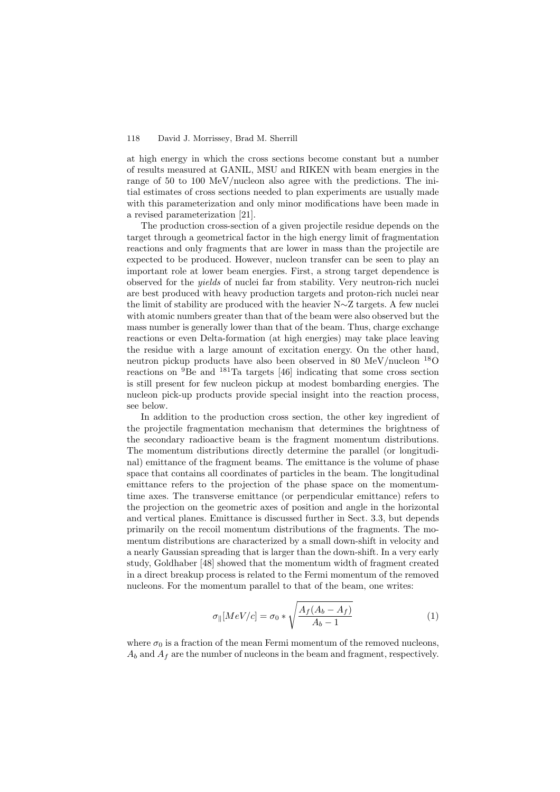at high energy in which the cross sections become constant but a number of results measured at GANIL, MSU and RIKEN with beam energies in the range of 50 to 100 MeV/nucleon also agree with the predictions. The initial estimates of cross sections needed to plan experiments are usually made with this parameterization and only minor modifications have been made in a revised parameterization [21].

The production cross-section of a given projectile residue depends on the target through a geometrical factor in the high energy limit of fragmentation reactions and only fragments that are lower in mass than the projectile are expected to be produced. However, nucleon transfer can be seen to play an important role at lower beam energies. First, a strong target dependence is observed for the *yields* of nuclei far from stability. Very neutron-rich nuclei are best produced with heavy production targets and proton-rich nuclei near the limit of stability are produced with the heavier N∼Z targets. A few nuclei with atomic numbers greater than that of the beam were also observed but the mass number is generally lower than that of the beam. Thus, charge exchange reactions or even Delta-formation (at high energies) may take place leaving the residue with a large amount of excitation energy. On the other hand, neutron pickup products have also been observed in 80 MeV/nucleon  $^{18}O$ reactions on  ${}^{9}$ Be and  ${}^{181}$ Ta targets [46] indicating that some cross section is still present for few nucleon pickup at modest bombarding energies. The nucleon pick-up products provide special insight into the reaction process, see below.

In addition to the production cross section, the other key ingredient of the projectile fragmentation mechanism that determines the brightness of the secondary radioactive beam is the fragment momentum distributions. The momentum distributions directly determine the parallel (or longitudinal) emittance of the fragment beams. The emittance is the volume of phase space that contains all coordinates of particles in the beam. The longitudinal emittance refers to the projection of the phase space on the momentumtime axes. The transverse emittance (or perpendicular emittance) refers to the projection on the geometric axes of position and angle in the horizontal and vertical planes. Emittance is discussed further in Sect. 3.3, but depends primarily on the recoil momentum distributions of the fragments. The momentum distributions are characterized by a small down-shift in velocity and a nearly Gaussian spreading that is larger than the down-shift. In a very early study, Goldhaber [48] showed that the momentum width of fragment created in a direct breakup process is related to the Fermi momentum of the removed nucleons. For the momentum parallel to that of the beam, one writes:

$$
\sigma_{\parallel}[MeV/c] = \sigma_0 * \sqrt{\frac{A_f(A_b - A_f)}{A_b - 1}}\tag{1}
$$

where  $\sigma_0$  is a fraction of the mean Fermi momentum of the removed nucleons,  $A_b$  and  $A_f$  are the number of nucleons in the beam and fragment, respectively.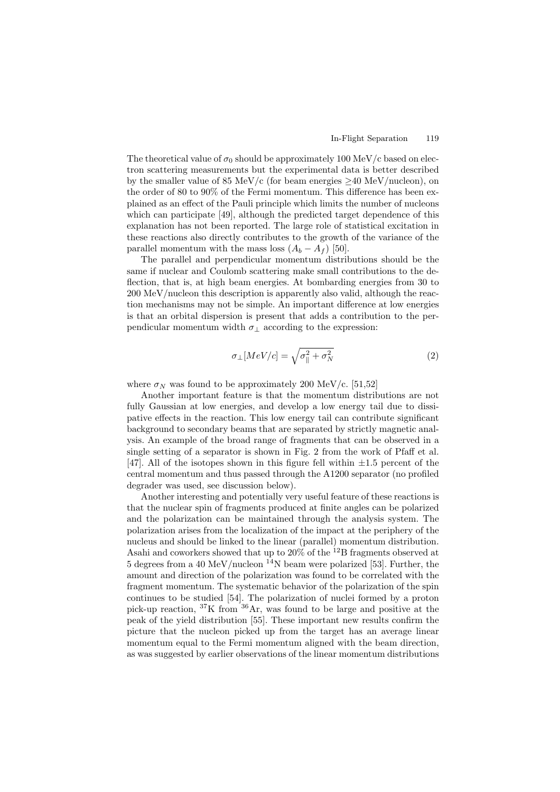The theoretical value of  $\sigma_0$  should be approximately 100 MeV/c based on electron scattering measurements but the experimental data is better described by the smaller value of 85 MeV/c (for beam energies  $>40$  MeV/nucleon), on the order of 80 to 90% of the Fermi momentum. This difference has been explained as an effect of the Pauli principle which limits the number of nucleons which can participate [49], although the predicted target dependence of this explanation has not been reported. The large role of statistical excitation in these reactions also directly contributes to the growth of the variance of the parallel momentum with the mass loss  $(A_b - A_f)$  [50].

The parallel and perpendicular momentum distributions should be the same if nuclear and Coulomb scattering make small contributions to the deflection, that is, at high beam energies. At bombarding energies from 30 to 200 MeV/nucleon this description is apparently also valid, although the reaction mechanisms may not be simple. An important difference at low energies is that an orbital dispersion is present that adds a contribution to the perpendicular momentum width  $\sigma_{\perp}$  according to the expression:

$$
\sigma_{\perp}[MeV/c] = \sqrt{\sigma_{\parallel}^2 + \sigma_N^2} \tag{2}
$$

where  $\sigma_N$  was found to be approximately 200 MeV/c. [51,52]

Another important feature is that the momentum distributions are not fully Gaussian at low energies, and develop a low energy tail due to dissipative effects in the reaction. This low energy tail can contribute significant background to secondary beams that are separated by strictly magnetic analysis. An example of the broad range of fragments that can be observed in a single setting of a separator is shown in Fig. 2 from the work of Pfaff et al. [47]. All of the isotopes shown in this figure fell within  $\pm 1.5$  percent of the central momentum and thus passed through the A1200 separator (no profiled degrader was used, see discussion below).

Another interesting and potentially very useful feature of these reactions is that the nuclear spin of fragments produced at finite angles can be polarized and the polarization can be maintained through the analysis system. The polarization arises from the localization of the impact at the periphery of the nucleus and should be linked to the linear (parallel) momentum distribution. Asahi and coworkers showed that up to  $20\%$  of the <sup>12</sup>B fragments observed at 5 degrees from a 40 MeV/nucleon  $14N$  beam were polarized [53]. Further, the amount and direction of the polarization was found to be correlated with the fragment momentum. The systematic behavior of the polarization of the spin continues to be studied [54]. The polarization of nuclei formed by a proton pick-up reaction,  ${}^{37}K$  from  ${}^{36}Ar$ , was found to be large and positive at the peak of the yield distribution [55]. These important new results confirm the picture that the nucleon picked up from the target has an average linear momentum equal to the Fermi momentum aligned with the beam direction, as was suggested by earlier observations of the linear momentum distributions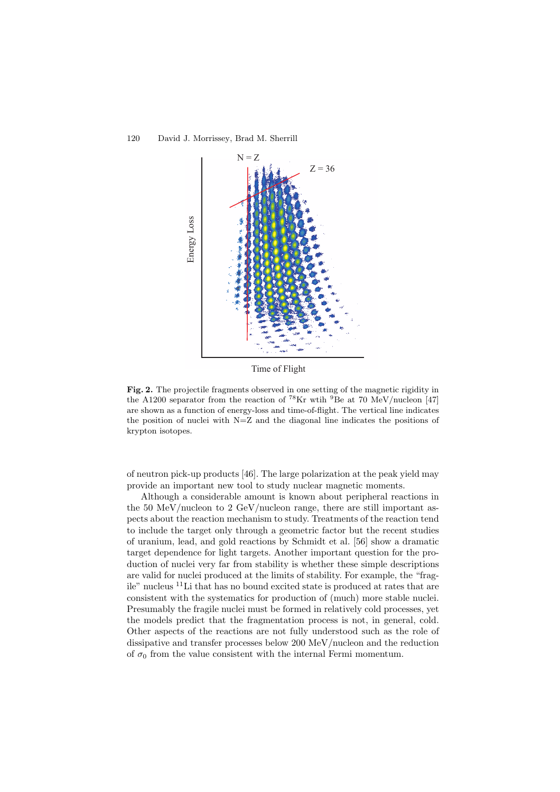

 $\overline{c}$ 

**Fig. 2.** The projectile fragments observed in one setting of the magnetic rigidity in the A1200 separator from the reaction of <sup>78</sup>Kr wtih <sup>9</sup>Be at 70 MeV/nucleon [47] are shown as a function of energy-loss and time-of-flight. The vertical line indicates the position of nuclei with  $N=Z$  and the diagonal line indicates the positions of krypton isotopes.

of neutron pick-up products [46]. The large polarization at the peak yield may provide an important new tool to study nuclear magnetic moments.

Although a considerable amount is known about peripheral reactions in the 50 MeV/nucleon to 2 GeV/nucleon range, there are still important aspects about the reaction mechanism to study. Treatments of the reaction tend to include the target only through a geometric factor but the recent studies of uranium, lead, and gold reactions by Schmidt et al. [56] show a dramatic target dependence for light targets. Another important question for the production of nuclei very far from stability is whether these simple descriptions are valid for nuclei produced at the limits of stability. For example, the "fragile" nucleus <sup>11</sup>Li that has no bound excited state is produced at rates that are consistent with the systematics for production of (much) more stable nuclei. Presumably the fragile nuclei must be formed in relatively cold processes, yet the models predict that the fragmentation process is not, in general, cold. Other aspects of the reactions are not fully understood such as the role of dissipative and transfer processes below 200 MeV/nucleon and the reduction of  $\sigma_0$  from the value consistent with the internal Fermi momentum.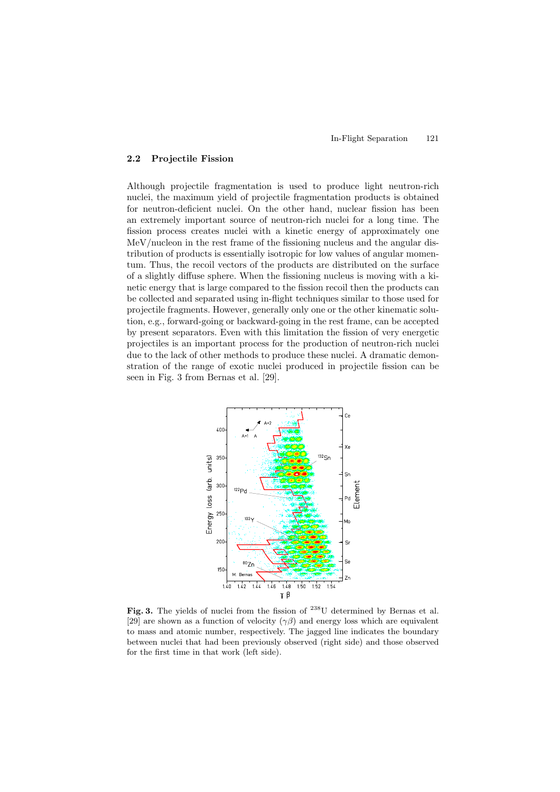#### **2.2 Projectile Fission**

Although projectile fragmentation is used to produce light neutron-rich nuclei, the maximum yield of projectile fragmentation products is obtained for neutron-deficient nuclei. On the other hand, nuclear fission has been an extremely important source of neutron-rich nuclei for a long time. The fission process creates nuclei with a kinetic energy of approximately one MeV/nucleon in the rest frame of the fissioning nucleus and the angular distribution of products is essentially isotropic for low values of angular momentum. Thus, the recoil vectors of the products are distributed on the surface of a slightly diffuse sphere. When the fissioning nucleus is moving with a kinetic energy that is large compared to the fission recoil then the products can be collected and separated using in-flight techniques similar to those used for projectile fragments. However, generally only one or the other kinematic solution, e.g., forward-going or backward-going in the rest frame, can be accepted by present separators. Even with this limitation the fission of very energetic projectiles is an important process for the production of neutron-rich nuclei due to the lack of other methods to produce these nuclei. A dramatic demonstration of the range of exotic nuclei produced in projectile fission can be seen in Fig. 3 from Bernas et al. [29].



**Fig. 3.** The yields of nuclei from the fission of <sup>238</sup>U determined by Bernas et al. [29] are shown as a function of velocity  $(\gamma \beta)$  and energy loss which are equivalent to mass and atomic number, respectively. The jagged line indicates the boundary between nuclei that had been previously observed (right side) and those observed for the first time in that work (left side).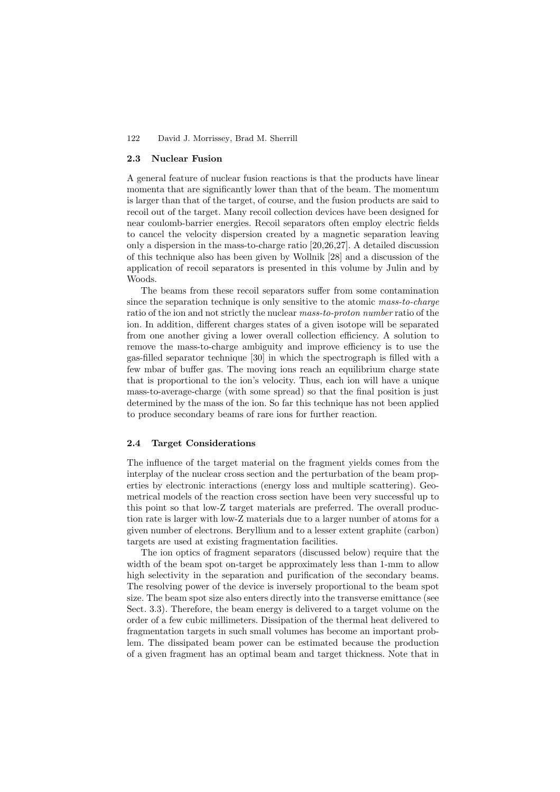### **2.3 Nuclear Fusion**

A general feature of nuclear fusion reactions is that the products have linear momenta that are significantly lower than that of the beam. The momentum is larger than that of the target, of course, and the fusion products are said to recoil out of the target. Many recoil collection devices have been designed for near coulomb-barrier energies. Recoil separators often employ electric fields to cancel the velocity dispersion created by a magnetic separation leaving only a dispersion in the mass-to-charge ratio [20,26,27]. A detailed discussion of this technique also has been given by Wollnik [28] and a discussion of the application of recoil separators is presented in this volume by Julin and by Woods.

The beams from these recoil separators suffer from some contamination since the separation technique is only sensitive to the atomic *mass-to-charge* ratio of the ion and not strictly the nuclear *mass-to-proton number* ratio of the ion. In addition, different charges states of a given isotope will be separated from one another giving a lower overall collection efficiency. A solution to remove the mass-to-charge ambiguity and improve efficiency is to use the gas-filled separator technique [30] in which the spectrograph is filled with a few mbar of buffer gas. The moving ions reach an equilibrium charge state that is proportional to the ion's velocity. Thus, each ion will have a unique mass-to-average-charge (with some spread) so that the final position is just determined by the mass of the ion. So far this technique has not been applied to produce secondary beams of rare ions for further reaction.

#### **2.4 Target Considerations**

The influence of the target material on the fragment yields comes from the interplay of the nuclear cross section and the perturbation of the beam properties by electronic interactions (energy loss and multiple scattering). Geometrical models of the reaction cross section have been very successful up to this point so that low-Z target materials are preferred. The overall production rate is larger with low-Z materials due to a larger number of atoms for a given number of electrons. Beryllium and to a lesser extent graphite (carbon) targets are used at existing fragmentation facilities.

The ion optics of fragment separators (discussed below) require that the width of the beam spot on-target be approximately less than 1-mm to allow high selectivity in the separation and purification of the secondary beams. The resolving power of the device is inversely proportional to the beam spot size. The beam spot size also enters directly into the transverse emittance (see Sect. 3.3). Therefore, the beam energy is delivered to a target volume on the order of a few cubic millimeters. Dissipation of the thermal heat delivered to fragmentation targets in such small volumes has become an important problem. The dissipated beam power can be estimated because the production of a given fragment has an optimal beam and target thickness. Note that in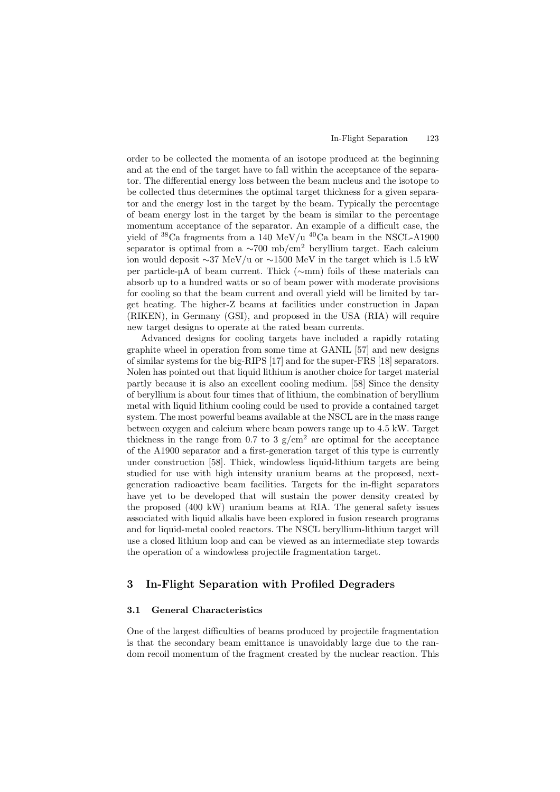order to be collected the momenta of an isotope produced at the beginning and at the end of the target have to fall within the acceptance of the separator. The differential energy loss between the beam nucleus and the isotope to be collected thus determines the optimal target thickness for a given separator and the energy lost in the target by the beam. Typically the percentage of beam energy lost in the target by the beam is similar to the percentage momentum acceptance of the separator. An example of a difficult case, the yield of  ${}^{38}$ Ca fragments from a 140 MeV/u  ${}^{40}$ Ca beam in the NSCL-A1900 separator is optimal from a  $\sim$ 700 mb/cm<sup>2</sup> beryllium target. Each calcium ion would deposit ∼37 MeV/u or ∼1500 MeV in the target which is 1.5 kW per particle-µA of beam current. Thick (∼mm) foils of these materials can absorb up to a hundred watts or so of beam power with moderate provisions for cooling so that the beam current and overall yield will be limited by target heating. The higher-Z beams at facilities under construction in Japan (RIKEN), in Germany (GSI), and proposed in the USA (RIA) will require new target designs to operate at the rated beam currents.

Advanced designs for cooling targets have included a rapidly rotating graphite wheel in operation from some time at GANIL [57] and new designs of similar systems for the big-RIPS [17] and for the super-FRS [18] separators. Nolen has pointed out that liquid lithium is another choice for target material partly because it is also an excellent cooling medium. [58] Since the density of beryllium is about four times that of lithium, the combination of beryllium metal with liquid lithium cooling could be used to provide a contained target system. The most powerful beams available at the NSCL are in the mass range between oxygen and calcium where beam powers range up to 4.5 kW. Target thickness in the range from 0.7 to 3  $g/cm<sup>2</sup>$  are optimal for the acceptance of the A1900 separator and a first-generation target of this type is currently under construction [58]. Thick, windowless liquid-lithium targets are being studied for use with high intensity uranium beams at the proposed, nextgeneration radioactive beam facilities. Targets for the in-flight separators have yet to be developed that will sustain the power density created by the proposed (400 kW) uranium beams at RIA. The general safety issues associated with liquid alkalis have been explored in fusion research programs and for liquid-metal cooled reactors. The NSCL beryllium-lithium target will use a closed lithium loop and can be viewed as an intermediate step towards the operation of a windowless projectile fragmentation target.

# **3 In-Flight Separation with Profiled Degraders**

### **3.1 General Characteristics**

One of the largest difficulties of beams produced by projectile fragmentation is that the secondary beam emittance is unavoidably large due to the random recoil momentum of the fragment created by the nuclear reaction. This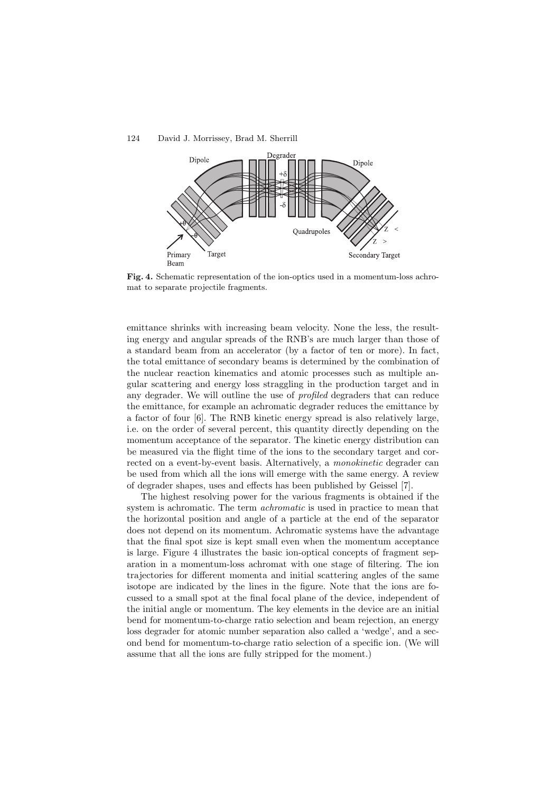

**Fig. 4.** Schematic representation of the ion-optics used in a momentum-loss achromat to separate projectile fragments.

emittance shrinks with increasing beam velocity. None the less, the resulting energy and angular spreads of the RNB's are much larger than those of a standard beam from an accelerator (by a factor of ten or more). In fact, the total emittance of secondary beams is determined by the combination of the nuclear reaction kinematics and atomic processes such as multiple angular scattering and energy loss straggling in the production target and in any degrader. We will outline the use of *profiled* degraders that can reduce the emittance, for example an achromatic degrader reduces the emittance by a factor of four [6]. The RNB kinetic energy spread is also relatively large, i.e. on the order of several percent, this quantity directly depending on the momentum acceptance of the separator. The kinetic energy distribution can be measured via the flight time of the ions to the secondary target and corrected on a event-by-event basis. Alternatively, a *monokinetic* degrader can be used from which all the ions will emerge with the same energy. A review of degrader shapes, uses and effects has been published by Geissel [7].

The highest resolving power for the various fragments is obtained if the system is achromatic. The term *achromatic* is used in practice to mean that the horizontal position and angle of a particle at the end of the separator does not depend on its momentum. Achromatic systems have the advantage that the final spot size is kept small even when the momentum acceptance is large. Figure 4 illustrates the basic ion-optical concepts of fragment separation in a momentum-loss achromat with one stage of filtering. The ion trajectories for different momenta and initial scattering angles of the same isotope are indicated by the lines in the figure. Note that the ions are focussed to a small spot at the final focal plane of the device, independent of the initial angle or momentum. The key elements in the device are an initial bend for momentum-to-charge ratio selection and beam rejection, an energy loss degrader for atomic number separation also called a 'wedge', and a second bend for momentum-to-charge ratio selection of a specific ion. (We will assume that all the ions are fully stripped for the moment.)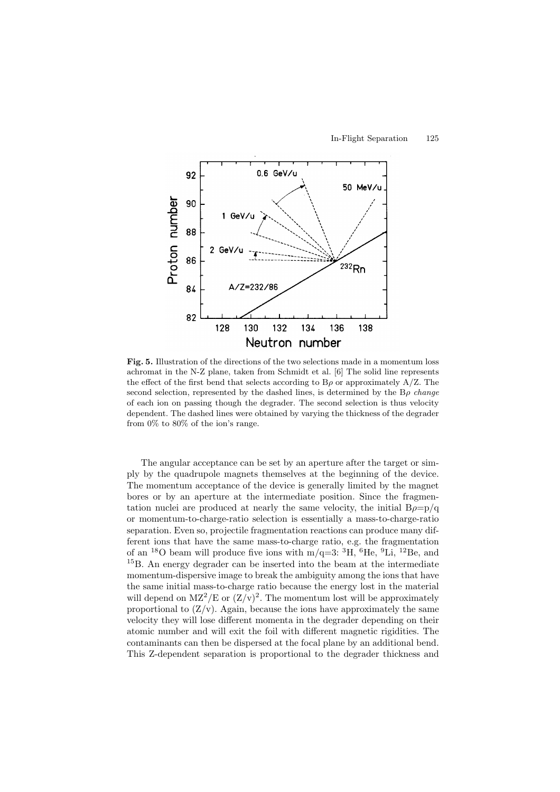

**Fig. 5.** Illustration of the directions of the two selections made in a momentum loss achromat in the N-Z plane, taken from Schmidt et al. [6] The solid line represents the effect of the first bend that selects according to  $B\rho$  or approximately  $A/Z$ . The second selection, represented by the dashed lines, is determined by the  $B\rho$  *change* of each ion on passing though the degrader. The second selection is thus velocity dependent. The dashed lines were obtained by varying the thickness of the degrader from 0% to 80% of the ion's range.

The angular acceptance can be set by an aperture after the target or simply by the quadrupole magnets themselves at the beginning of the device. The momentum acceptance of the device is generally limited by the magnet bores or by an aperture at the intermediate position. Since the fragmentation nuclei are produced at nearly the same velocity, the initial  $B\rho=p/q$ or momentum-to-charge-ratio selection is essentially a mass-to-charge-ratio separation. Even so, projectile fragmentation reactions can produce many different ions that have the same mass-to-charge ratio, e.g. the fragmentation of an <sup>18</sup>O beam will produce five ions with  $m/q=3$ : <sup>3</sup>H, <sup>6</sup>He, <sup>9</sup>Li, <sup>12</sup>Be, and <sup>15</sup>B. An energy degrader can be inserted into the beam at the intermediate momentum-dispersive image to break the ambiguity among the ions that have the same initial mass-to-charge ratio because the energy lost in the material will depend on  $MZ^2/E$  or  $(Z/v)^2$ . The momentum lost will be approximately proportional to  $(Z/v)$ . Again, because the ions have approximately the same velocity they will lose different momenta in the degrader depending on their atomic number and will exit the foil with different magnetic rigidities. The contaminants can then be dispersed at the focal plane by an additional bend. This Z-dependent separation is proportional to the degrader thickness and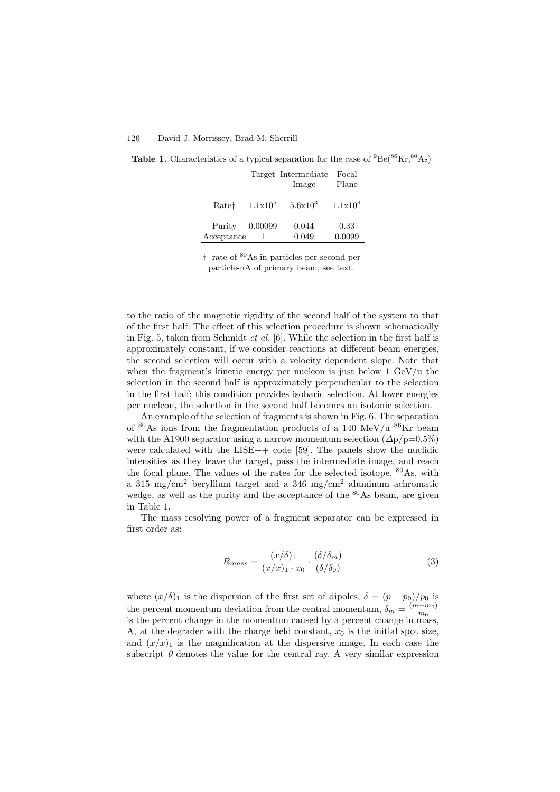|            | Target Intermediate | Focal        |                   |
|------------|---------------------|--------------|-------------------|
|            |                     | Image        | Plane             |
| Rate†      | 1.1x10 <sup>5</sup> | $5.6x10^{3}$ | $1.1 \times 10^3$ |
| Purity     | 0.00099             | 0.044        | 0.33              |
| Acceptance |                     | 0.049        | 0.0099            |

**Table 1.** Characteristics of a typical separation for the case of  ${}^{9}Be({}^{86}Kr,{}^{80}As)$ 

† rate of <sup>80</sup>As in particles per second per particle-nA of primary beam, see text.

to the ratio of the magnetic rigidity of the second half of the system to that of the first half. The effect of this selection procedure is shown schematically in Fig. 5, taken from Schmidt *et al.* [6]. While the selection in the first half is approximately constant, if we consider reactions at different beam energies, the second selection will occur with a velocity dependent slope. Note that when the fragment's kinetic energy per nucleon is just below 1 GeV/u the selection in the second half is approximately perpendicular to the selection in the first half; this condition provides isobaric selection. At lower energies per nucleon, the selection in the second half becomes an isotonic selection.

An example of the selection of fragments is shown in Fig. 6. The separation of  $80\,\mathrm{As}$  ions from the fragmentation products of a 140 MeV/u  $86\,\mathrm{Kr}$  beam with the A1900 separator using a narrow momentum selection  $(\Delta p/p=0.5\%)$ were calculated with the LISE++ code [59]. The panels show the nuclidic intensities as they leave the target, pass the intermediate image, and reach the focal plane. The values of the rates for the selected isotope, <sup>80</sup>As, with a 315 mg/cm<sup>2</sup> beryllium target and a 346 mg/cm<sup>2</sup> aluminum achromatic wedge, as well as the purity and the acceptance of the <sup>80</sup>As beam, are given in Table 1.

The mass resolving power of a fragment separator can be expressed in first order as:

$$
R_{mass} = \frac{(x/\delta)_1}{(x/x)_1 \cdot x_0} \cdot \frac{(\delta/\delta_m)}{(\delta/\delta_0)}\tag{3}
$$

where  $(x/\delta)_1$  is the dispersion of the first set of dipoles,  $\delta = (p - p_0)/p_0$  is the percent momentum deviation from the central momentum,  $\delta_m = \frac{(m-m_0)}{m_0}$ is the percent change in the momentum caused by a percent change in mass, A, at the degrader with the charge held constant,  $x_0$  is the initial spot size, and  $(x/x)_1$  is the magnification at the dispersive image. In each case the subscript  $\theta$  denotes the value for the central ray. A very similar expression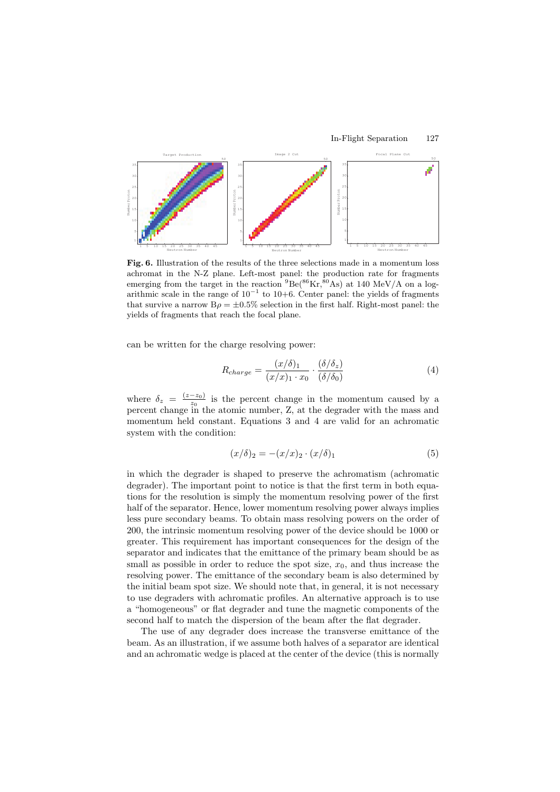

**Fig. 6.** Illustration of the results of the three selections made in a momentum loss achromat in the N-Z plane. Left-most panel: the production rate for fragments emerging from the target in the reaction  ${}^{9}Be({}^{86}Kr,{}^{80}As)$  at 140 MeV/A on a logarithmic scale in the range of  $10^{-1}$  to  $10+6$ . Center panel: the yields of fragments that survive a narrow  $B\rho = \pm 0.5\%$  selection in the first half. Right-most panel: the yields of fragments that reach the focal plane.

can be written for the charge resolving power:

$$
R_{charge} = \frac{(x/\delta)_1}{(x/x)_1 \cdot x_0} \cdot \frac{(\delta/\delta_z)}{(\delta/\delta_0)}
$$
(4)

where  $\delta_z = \frac{(z-z_0)}{z_0}$  is the percent change in the momentum caused by a percent change in the atomic number,  $Z$ , at the degrader with the mass and momentum held constant. Equations 3 and 4 are valid for an achromatic system with the condition:

$$
(x/\delta)_2 = -(x/x)_2 \cdot (x/\delta)_1 \tag{5}
$$

in which the degrader is shaped to preserve the achromatism (achromatic degrader). The important point to notice is that the first term in both equations for the resolution is simply the momentum resolving power of the first half of the separator. Hence, lower momentum resolving power always implies less pure secondary beams. To obtain mass resolving powers on the order of 200, the intrinsic momentum resolving power of the device should be 1000 or greater. This requirement has important consequences for the design of the separator and indicates that the emittance of the primary beam should be as small as possible in order to reduce the spot size,  $x_0$ , and thus increase the resolving power. The emittance of the secondary beam is also determined by the initial beam spot size. We should note that, in general, it is not necessary to use degraders with achromatic profiles. An alternative approach is to use a "homogeneous" or flat degrader and tune the magnetic components of the second half to match the dispersion of the beam after the flat degrader.

The use of any degrader does increase the transverse emittance of the beam. As an illustration, if we assume both halves of a separator are identical and an achromatic wedge is placed at the center of the device (this is normally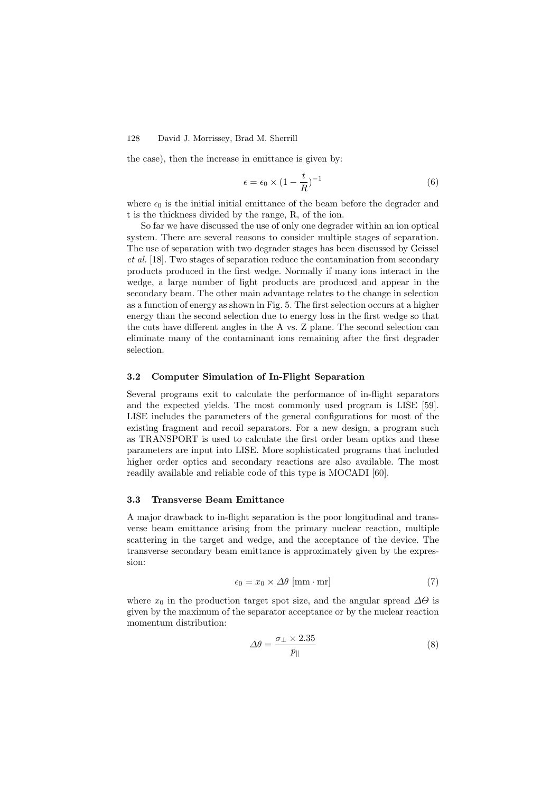the case), then the increase in emittance is given by:

$$
\epsilon = \epsilon_0 \times (1 - \frac{t}{R})^{-1} \tag{6}
$$

where  $\epsilon_0$  is the initial initial emittance of the beam before the degrader and t is the thickness divided by the range, R, of the ion.

So far we have discussed the use of only one degrader within an ion optical system. There are several reasons to consider multiple stages of separation. The use of separation with two degrader stages has been discussed by Geissel *et al.* [18]. Two stages of separation reduce the contamination from secondary products produced in the first wedge. Normally if many ions interact in the wedge, a large number of light products are produced and appear in the secondary beam. The other main advantage relates to the change in selection as a function of energy as shown in Fig. 5. The first selection occurs at a higher energy than the second selection due to energy loss in the first wedge so that the cuts have different angles in the A vs. Z plane. The second selection can eliminate many of the contaminant ions remaining after the first degrader selection.

#### **3.2 Computer Simulation of In-Flight Separation**

Several programs exit to calculate the performance of in-flight separators and the expected yields. The most commonly used program is LISE [59]. LISE includes the parameters of the general configurations for most of the existing fragment and recoil separators. For a new design, a program such as TRANSPORT is used to calculate the first order beam optics and these parameters are input into LISE. More sophisticated programs that included higher order optics and secondary reactions are also available. The most readily available and reliable code of this type is MOCADI [60].

#### **3.3 Transverse Beam Emittance**

A major drawback to in-flight separation is the poor longitudinal and transverse beam emittance arising from the primary nuclear reaction, multiple scattering in the target and wedge, and the acceptance of the device. The transverse secondary beam emittance is approximately given by the expression:

$$
\epsilon_0 = x_0 \times \Delta\theta \,\,\mathrm{[mm\cdot mr]} \tag{7}
$$

where  $x_0$  in the production target spot size, and the angular spread  $\Delta\Theta$  is given by the maximum of the separator acceptance or by the nuclear reaction momentum distribution:

$$
\Delta\theta = \frac{\sigma_{\perp} \times 2.35}{p_{\parallel}} \tag{8}
$$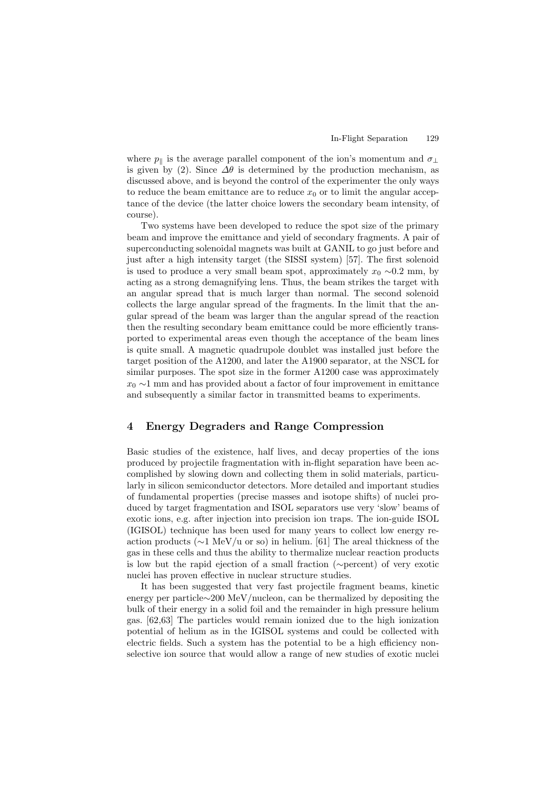where  $p_{\parallel}$  is the average parallel component of the ion's momentum and  $\sigma_{\perp}$ is given by (2). Since  $\Delta\theta$  is determined by the production mechanism, as discussed above, and is beyond the control of the experimenter the only ways to reduce the beam emittance are to reduce  $x_0$  or to limit the angular acceptance of the device (the latter choice lowers the secondary beam intensity, of course).

Two systems have been developed to reduce the spot size of the primary beam and improve the emittance and yield of secondary fragments. A pair of superconducting solenoidal magnets was built at GANIL to go just before and just after a high intensity target (the SISSI system) [57]. The first solenoid is used to produce a very small beam spot, approximately  $x_0 \sim 0.2$  mm, by acting as a strong demagnifying lens. Thus, the beam strikes the target with an angular spread that is much larger than normal. The second solenoid collects the large angular spread of the fragments. In the limit that the angular spread of the beam was larger than the angular spread of the reaction then the resulting secondary beam emittance could be more efficiently transported to experimental areas even though the acceptance of the beam lines is quite small. A magnetic quadrupole doublet was installed just before the target position of the A1200, and later the A1900 separator, at the NSCL for similar purposes. The spot size in the former A1200 case was approximately  $x_0 \sim 1$  mm and has provided about a factor of four improvement in emittance and subsequently a similar factor in transmitted beams to experiments.

# **4 Energy Degraders and Range Compression**

Basic studies of the existence, half lives, and decay properties of the ions produced by projectile fragmentation with in-flight separation have been accomplished by slowing down and collecting them in solid materials, particularly in silicon semiconductor detectors. More detailed and important studies of fundamental properties (precise masses and isotope shifts) of nuclei produced by target fragmentation and ISOL separators use very 'slow' beams of exotic ions, e.g. after injection into precision ion traps. The ion-guide ISOL (IGISOL) technique has been used for many years to collect low energy reaction products (∼1 MeV/u or so) in helium. [61] The areal thickness of the gas in these cells and thus the ability to thermalize nuclear reaction products is low but the rapid ejection of a small fraction (∼percent) of very exotic nuclei has proven effective in nuclear structure studies.

It has been suggested that very fast projectile fragment beams, kinetic energy per particle∼200 MeV/nucleon, can be thermalized by depositing the bulk of their energy in a solid foil and the remainder in high pressure helium gas. [62,63] The particles would remain ionized due to the high ionization potential of helium as in the IGISOL systems and could be collected with electric fields. Such a system has the potential to be a high efficiency nonselective ion source that would allow a range of new studies of exotic nuclei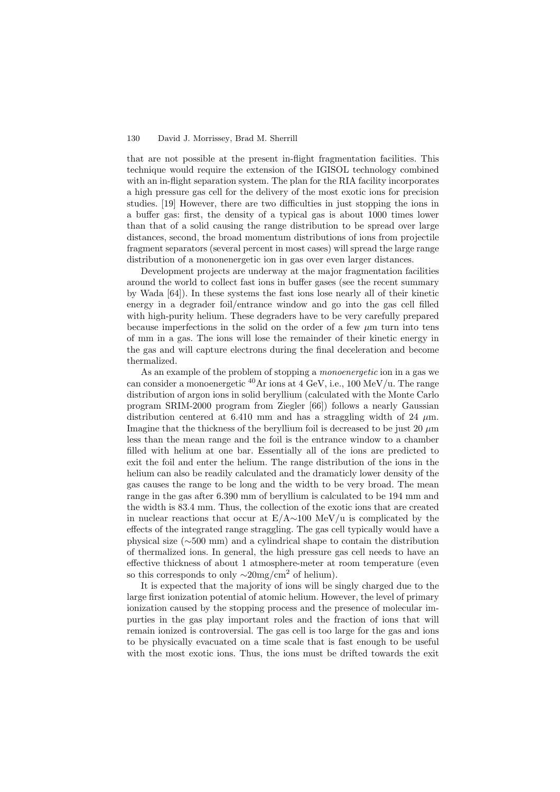that are not possible at the present in-flight fragmentation facilities. This technique would require the extension of the IGISOL technology combined with an in-flight separation system. The plan for the RIA facility incorporates a high pressure gas cell for the delivery of the most exotic ions for precision studies. [19] However, there are two difficulties in just stopping the ions in a buffer gas: first, the density of a typical gas is about 1000 times lower than that of a solid causing the range distribution to be spread over large distances, second, the broad momentum distributions of ions from projectile fragment separators (several percent in most cases) will spread the large range distribution of a mononenergetic ion in gas over even larger distances.

Development projects are underway at the major fragmentation facilities around the world to collect fast ions in buffer gases (see the recent summary by Wada [64]). In these systems the fast ions lose nearly all of their kinetic energy in a degrader foil/entrance window and go into the gas cell filled with high-purity helium. These degraders have to be very carefully prepared because imperfections in the solid on the order of a few  $\mu$ m turn into tens of mm in a gas. The ions will lose the remainder of their kinetic energy in the gas and will capture electrons during the final deceleration and become thermalized.

As an example of the problem of stopping a *monoenergetic* ion in a gas we can consider a monoenergetic <sup>40</sup>Ar ions at 4 GeV, i.e., 100 MeV/u. The range distribution of argon ions in solid beryllium (calculated with the Monte Carlo program SRIM-2000 program from Ziegler [66]) follows a nearly Gaussian distribution centered at 6.410 mm and has a straggling width of 24  $\mu$ m. Imagine that the thickness of the beryllium foil is decreased to be just 20  $\mu$ m less than the mean range and the foil is the entrance window to a chamber filled with helium at one bar. Essentially all of the ions are predicted to exit the foil and enter the helium. The range distribution of the ions in the helium can also be readily calculated and the dramaticly lower density of the gas causes the range to be long and the width to be very broad. The mean range in the gas after 6.390 mm of beryllium is calculated to be 194 mm and the width is 83.4 mm. Thus, the collection of the exotic ions that are created in nuclear reactions that occur at E/A∼100 MeV/u is complicated by the effects of the integrated range straggling. The gas cell typically would have a physical size (∼500 mm) and a cylindrical shape to contain the distribution of thermalized ions. In general, the high pressure gas cell needs to have an effective thickness of about 1 atmosphere-meter at room temperature (even so this corresponds to only  $\sim 20 \text{mg/cm}^2$  of helium).

It is expected that the majority of ions will be singly charged due to the large first ionization potential of atomic helium. However, the level of primary ionization caused by the stopping process and the presence of molecular impurties in the gas play important roles and the fraction of ions that will remain ionized is controversial. The gas cell is too large for the gas and ions to be physically evacuated on a time scale that is fast enough to be useful with the most exotic ions. Thus, the ions must be drifted towards the exit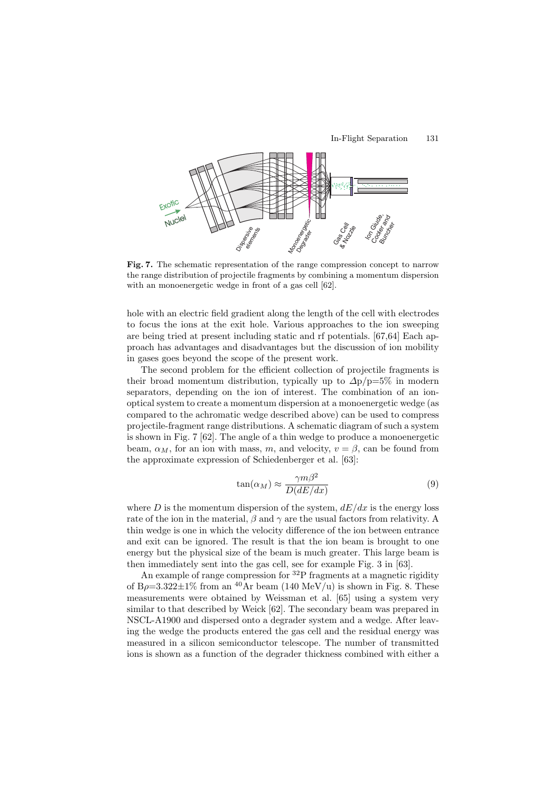

**Fig. 7.** The schematic representation of the range compression concept to narrow the range distribution of projectile fragments by combining a momentum dispersion with an monoenergetic wedge in front of a gas cell [62].

hole with an electric field gradient along the length of the cell with electrodes to focus the ions at the exit hole. Various approaches to the ion sweeping are being tried at present including static and rf potentials. [67,64] Each approach has advantages and disadvantages but the discussion of ion mobility in gases goes beyond the scope of the present work.

The second problem for the efficient collection of projectile fragments is their broad momentum distribution, typically up to  $\Delta p/p=5\%$  in modern separators, depending on the ion of interest. The combination of an ionoptical system to create a momentum dispersion at a monoenergetic wedge (as compared to the achromatic wedge described above) can be used to compress projectile-fragment range distributions. A schematic diagram of such a system is shown in Fig. 7 [62]. The angle of a thin wedge to produce a monoenergetic beam,  $\alpha_M$ , for an ion with mass, m, and velocity,  $v = \beta$ , can be found from the approximate expression of Schiedenberger et al. [63]:

$$
\tan(\alpha_M) \approx \frac{\gamma m \beta^2}{D(dE/dx)}\tag{9}
$$

where D is the momentum dispersion of the system,  $dE/dx$  is the energy loss rate of the ion in the material,  $\beta$  and  $\gamma$  are the usual factors from relativity. A thin wedge is one in which the velocity difference of the ion between entrance and exit can be ignored. The result is that the ion beam is brought to one energy but the physical size of the beam is much greater. This large beam is then immediately sent into the gas cell, see for example Fig. 3 in [63].

An example of range compression for  ${}^{32}P$  fragments at a magnetic rigidity of B $\rho=3.322\pm1\%$  from an <sup>40</sup>Ar beam (140 MeV/u) is shown in Fig. 8. These measurements were obtained by Weissman et al. [65] using a system very similar to that described by Weick [62]. The secondary beam was prepared in NSCL-A1900 and dispersed onto a degrader system and a wedge. After leaving the wedge the products entered the gas cell and the residual energy was measured in a silicon semiconductor telescope. The number of transmitted ions is shown as a function of the degrader thickness combined with either a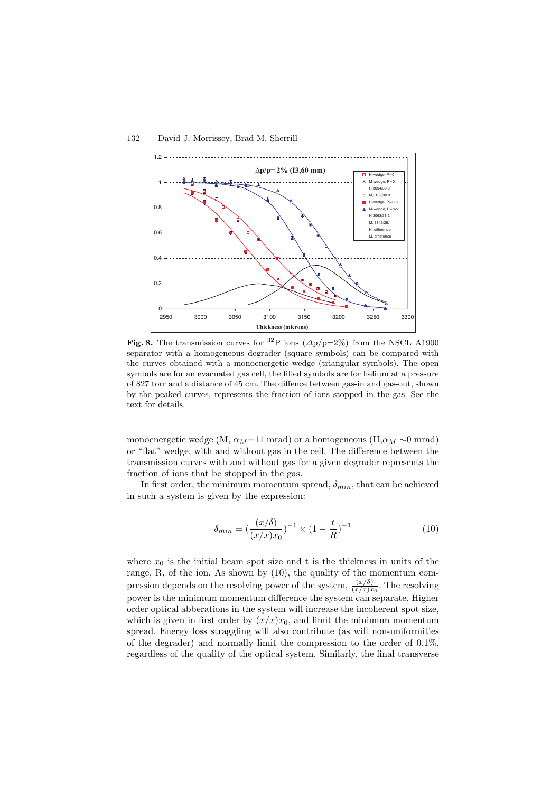

**Fig. 8.** The transmission curves for <sup>32</sup>P ions ( $\Delta p/p=2\%$ ) from the NSCL A1900 separator with a homogeneous degrader (square symbols) can be compared with the curves obtained with a monoenergetic wedge (triangular symbols). The open symbols are for an evacuated gas cell, the filled symbols are for helium at a pressure of 827 torr and a distance of 45 cm. The diffence between gas-in and gas-out, shown by the peaked curves, represents the fraction of ions stopped in the gas. See the text for details.

monoenergetic wedge (M,  $\alpha_M=11$  mrad) or a homogeneous (H, $\alpha_M \sim 0$  mrad) or "flat" wedge, with and without gas in the cell. The difference between the transmission curves with and without gas for a given degrader represents the fraction of ions that be stopped in the gas.

In first order, the minimum momentum spread,  $\delta_{min}$ , that can be achieved in such a system is given by the expression:

$$
\delta_{min} = \left(\frac{(x/\delta)}{(x/x)x_0}\right)^{-1} \times \left(1 - \frac{t}{R}\right)^{-1} \tag{10}
$$

where  $x_0$  is the initial beam spot size and t is the thickness in units of the range, R, of the ion. As shown by (10), the quality of the momentum compression depends on the resolving power of the system,  $\frac{(x/\delta)}{(x/x)x_0}$ . The resolving power is the minimum momentum difference the system can separate. Higher order optical abberations in the system will increase the incoherent spot size, which is given in first order by  $(x/x)x_0$ , and limit the minimum momentum spread. Energy loss straggling will also contribute (as will non-uniformities of the degrader) and normally limit the compression to the order of 0.1%, regardless of the quality of the optical system. Similarly, the final transverse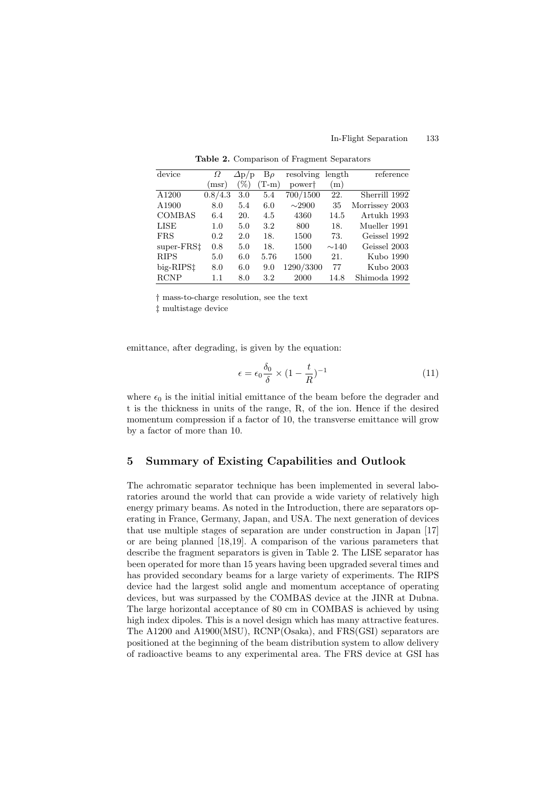| Ω       | $\Delta p/p$ | $B\rho$ | resolving          | length     | reference      |
|---------|--------------|---------|--------------------|------------|----------------|
| (msr)   | %            | $(T-m)$ | power <sup>†</sup> | (m)        |                |
| 0.8/4.3 | 3.0          | 5.4     | 700/1500           | 22.        | Sherrill 1992  |
| 8.0     | 5.4          | 6.0     | $\sim$ 2900        | 35         | Morrissey 2003 |
| 6.4     | 20.          | 4.5     | 4360               | 14.5       | Artukh 1993    |
| 1.0     | 5.0          | 3.2     | 800                | 18.        | Mueller 1991   |
| 0.2     | 2.0          | 18.     | 1500               | 73.        | Geissel 1992   |
| 0.8     | 5.0          | 18.     | 1500               | $\sim$ 140 | Geissel 2003   |
| 5.0     | 6.0          | 5.76    | 1500               | 21.        | Kubo 1990      |
| 8.0     | 6.0          | 9.0     | 1290/3300          | 77         | Kubo 2003      |
| 1.1     | 8.0          | 3.2     | 2000               | 14.8       | Shimoda 1992   |
|         |              |         |                    |            |                |

**Table 2.** Comparison of Fragment Separators

† mass-to-charge resolution, see the text

‡ multistage device

emittance, after degrading, is given by the equation:

$$
\epsilon = \epsilon_0 \frac{\delta_0}{\delta} \times (1 - \frac{t}{R})^{-1} \tag{11}
$$

where  $\epsilon_0$  is the initial initial emittance of the beam before the degrader and t is the thickness in units of the range, R, of the ion. Hence if the desired momentum compression if a factor of 10, the transverse emittance will grow by a factor of more than 10.

### **5 Summary of Existing Capabilities and Outlook**

The achromatic separator technique has been implemented in several laboratories around the world that can provide a wide variety of relatively high energy primary beams. As noted in the Introduction, there are separators operating in France, Germany, Japan, and USA. The next generation of devices that use multiple stages of separation are under construction in Japan [17] or are being planned [18,19]. A comparison of the various parameters that describe the fragment separators is given in Table 2. The LISE separator has been operated for more than 15 years having been upgraded several times and has provided secondary beams for a large variety of experiments. The RIPS device had the largest solid angle and momentum acceptance of operating devices, but was surpassed by the COMBAS device at the JINR at Dubna. The large horizontal acceptance of 80 cm in COMBAS is achieved by using high index dipoles. This is a novel design which has many attractive features. The A1200 and A1900(MSU), RCNP(Osaka), and FRS(GSI) separators are positioned at the beginning of the beam distribution system to allow delivery of radioactive beams to any experimental area. The FRS device at GSI has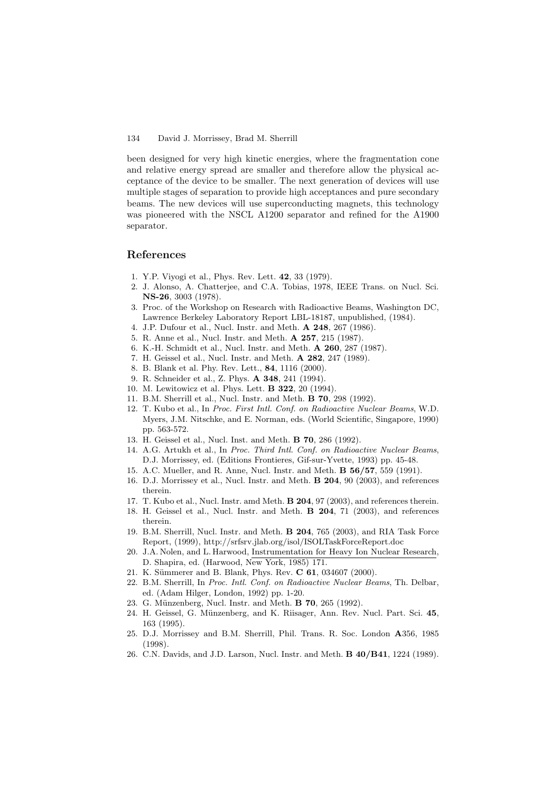been designed for very high kinetic energies, where the fragmentation cone and relative energy spread are smaller and therefore allow the physical acceptance of the device to be smaller. The next generation of devices will use multiple stages of separation to provide high acceptances and pure secondary beams. The new devices will use superconducting magnets, this technology was pioneered with the NSCL A1200 separator and refined for the A1900 separator.

### **References**

- 1. Y.P. Viyogi et al., Phys. Rev. Lett. **42**, 33 (1979).
- 2. J. Alonso, A. Chatterjee, and C.A. Tobias, 1978, IEEE Trans. on Nucl. Sci. **NS-26**, 3003 (1978).
- 3. Proc. of the Workshop on Research with Radioactive Beams, Washington DC, Lawrence Berkeley Laboratory Report LBL-18187, unpublished, (1984).
- 4. J.P. Dufour et al., Nucl. Instr. and Meth. **A 248**, 267 (1986).
- 5. R. Anne et al., Nucl. Instr. and Meth. **A 257**, 215 (1987).
- 6. K.-H. Schmidt et al., Nucl. Instr. and Meth. **A 260**, 287 (1987).
- 7. H. Geissel et al., Nucl. Instr. and Meth. **A 282**, 247 (1989).
- 8. B. Blank et al. Phy. Rev. Lett., **84**, 1116 (2000).
- 9. R. Schneider et al., Z. Phys. **A 348**, 241 (1994).
- 10. M. Lewitowicz et al. Phys. Lett. **B 322**, 20 (1994).
- 11. B.M. Sherrill et al., Nucl. Instr. and Meth. **B 70**, 298 (1992).
- 12. T. Kubo et al., In Proc. First Intl. Conf. on Radioactive Nuclear Beams, W.D. Myers, J.M. Nitschke, and E. Norman, eds. (World Scientific, Singapore, 1990) pp. 563-572.
- 13. H. Geissel et al., Nucl. Inst. and Meth. **B 70**, 286 (1992).
- 14. A.G. Artukh et al., In Proc. Third Intl. Conf. on Radioactive Nuclear Beams, D.J. Morrissey, ed. (Editions Frontieres, Gif-sur-Yvette, 1993) pp. 45-48.
- 15. A.C. Mueller, and R. Anne, Nucl. Instr. and Meth. **B 56/57**, 559 (1991).
- 16. D.J. Morrissey et al., Nucl. Instr. and Meth. **B 204**, 90 (2003), and references therein.
- 17. T. Kubo et al., Nucl. Instr. amd Meth. **B 204**, 97 (2003), and references therein.
- 18. H. Geissel et al., Nucl. Instr. and Meth. **B 204**, 71 (2003), and references therein.
- 19. B.M. Sherrill, Nucl. Instr. and Meth. **B 204**, 765 (2003), and RIA Task Force Report, (1999), http://srfsrv.jlab.org/isol/ISOLTaskForceReport.doc
- 20. J.A. Nolen, and L. Harwood, Instrumentation for Heavy Ion Nuclear Research, D. Shapira, ed. (Harwood, New York, 1985) 171.
- 21. K. Sümmerer and B. Blank, Phys. Rev. **C 61**, 034607 (2000).
- 22. B.M. Sherrill, In Proc. Intl. Conf. on Radioactive Nuclear Beams, Th. Delbar, ed. (Adam Hilger, London, 1992) pp. 1-20.
- 23. G. M¨unzenberg, Nucl. Instr. and Meth. **B 70**, 265 (1992).
- 24. H. Geissel, G. M¨unzenberg, and K. Riisager, Ann. Rev. Nucl. Part. Sci. **45**, 163 (1995).
- 25. D.J. Morrissey and B.M. Sherrill, Phil. Trans. R. Soc. London **A**356, 1985 (1998).
- 26. C.N. Davids, and J.D. Larson, Nucl. Instr. and Meth. **B 40/B41**, 1224 (1989).